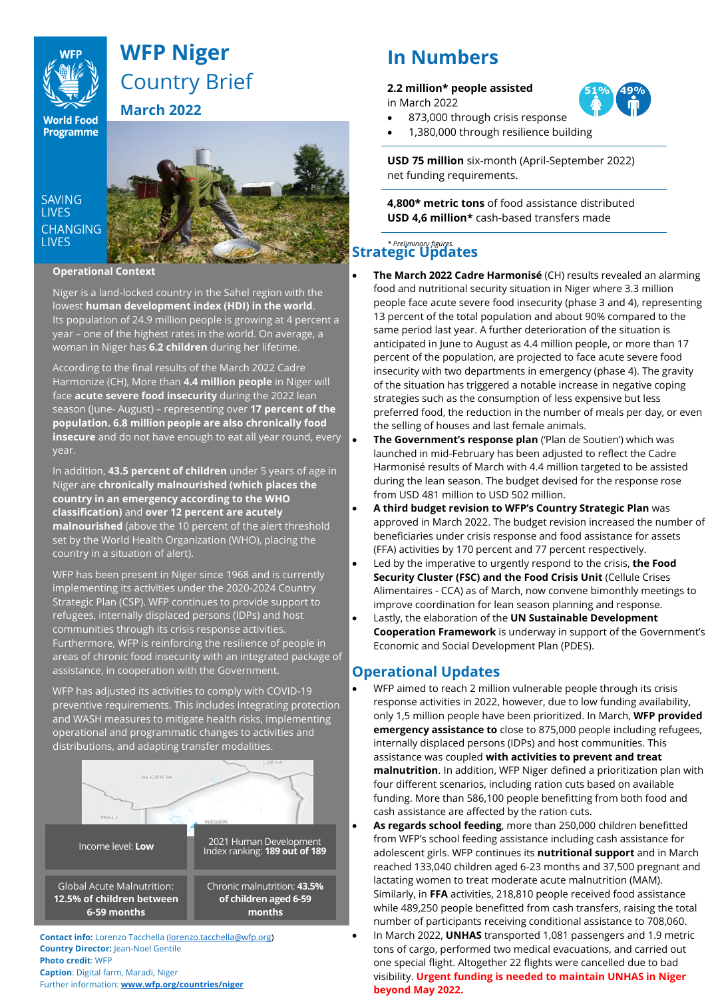

# **WFP Niger** Country Brief **March 2022**

**World Food**<br>**Programme** 

**SAVING LIVES CHANGING LIVES** 



**Operational Context**

Niger is a land-locked country in the Sahel region with the lowest **human development index (HDI) in the world**. Its population of 24.9 million people is growing at 4 percent a year – one of the highest rates in the world. On average, a woman in Niger has **6.2 children** during her lifetime.

According to the final results of the March 2022 Cadre Harmonize (CH), More than **4.4 million people** in Niger will face **acute severe food insecurity** during the 2022 lean season (June- August) – representing over **17 percent of the population. 6.8 million people are also chronically food insecure** and do not have enough to eat all year round, every year.

In addition, **43.5 percent of children** under 5 years of age in Niger are **chronically malnourished (which places the country in an emergency according to the WHO classification)** and **over 12 percent are acutely malnourished** (above the 10 percent of the alert threshold set by the World Health Organization (WHO), placing the country in a situation of alert).

WFP has been present in Niger since 1968 and is currently implementing its activities under the 2020-2024 Country Strategic Plan (CSP). WFP continues to provide support to refugees, internally displaced persons (IDPs) and host communities through its crisis response activities. Furthermore, WFP is reinforcing the resilience of people in areas of chronic food insecurity with an integrated package of assistance, in cooperation with the Government.

WFP has adjusted its activities to comply with COVID-19 preventive requirements. This includes integrating protection and WASH measures to mitigate health risks, implementing operational and programmatic changes to activities and distributions, and adapting transfer modalities.



**Contact info:** Lorenzo Tacchella [\(lorenzo.tacchella@wfp.org\)](mailto:lorenzo.tacchella@wfp.org) **Country Director:** Jean-Noel Gentile **Photo credit**: WFP **Caption**: Digital farm, Maradi, Niger Further information: **[www.wfp.org/countries/niger](http://www.wfp.org/countries/niger)**

# **In Numbers**

#### **2.2 million\* people assisted** in March 2022

873,000 through crisis response • 1,380,000 through resilience building

**USD 75 million** six-month (April-September 2022) net funding requirements.

**4,800\* metric tons** of food assistance distributed **USD 4,6 million\*** cash-based transfers made

## *\* Preliminary figures.* **Strategic Updates**

- **The March 2022 Cadre Harmonisé** (CH) results revealed an alarming food and nutritional security situation in Niger where 3.3 million people face acute severe food insecurity (phase 3 and 4), representing 13 percent of the total population and about 90% compared to the same period last year. A further deterioration of the situation is anticipated in June to August as 4.4 million people, or more than 17 percent of the population, are projected to face acute severe food insecurity with two departments in emergency (phase 4). The gravity of the situation has triggered a notable increase in negative coping strategies such as the consumption of less expensive but less preferred food, the reduction in the number of meals per day, or even the selling of houses and last female animals.
- **The Government's response plan** ('Plan de Soutien') which was launched in mid-February has been adjusted to reflect the Cadre Harmonisé results of March with 4.4 million targeted to be assisted during the lean season. The budget devised for the response rose from USD 481 million to USD 502 million.
- **A third budget revision to WFP's Country Strategic Plan** was approved in March 2022. The budget revision increased the number of beneficiaries under crisis response and food assistance for assets (FFA) activities by 170 percent and 77 percent respectively.
- Led by the imperative to urgently respond to the crisis, **the Food Security Cluster (FSC) and the Food Crisis Unit** (Cellule Crises Alimentaires - CCA) as of March, now convene bimonthly meetings to improve coordination for lean season planning and response.
- Lastly, the elaboration of the **UN Sustainable Development Cooperation Framework** is underway in support of the Government's Economic and Social Development Plan (PDES).

## **Operational Updates**

- WFP aimed to reach 2 million vulnerable people through its crisis response activities in 2022, however, due to low funding availability, only 1,5 million people have been prioritized. In March, **WFP provided emergency assistance to** close to 875,000 people including refugees, internally displaced persons (IDPs) and host communities. This assistance was coupled **with activities to prevent and treat malnutrition**. In addition, WFP Niger defined a prioritization plan with four different scenarios, including ration cuts based on available funding. More than 586,100 people benefitting from both food and cash assistance are affected by the ration cuts.
- **As regards school feeding**, more than 250,000 children benefitted from WFP's school feeding assistance including cash assistance for adolescent girls. WFP continues its **nutritional support** and in March reached 133,040 children aged 6-23 months and 37,500 pregnant and lactating women to treat moderate acute malnutrition (MAM). Similarly, in **FFA** activities, 218,810 people received food assistance while 489,250 people benefitted from cash transfers, raising the total number of participants receiving conditional assistance to 708,060.
- In March 2022, **UNHAS** transported 1,081 passengers and 1.9 metric tons of cargo, performed two medical evacuations, and carried out one special flight. Altogether 22 flights were cancelled due to bad visibility. **Urgent funding is needed to maintain UNHAS in Niger beyond May 2022.**